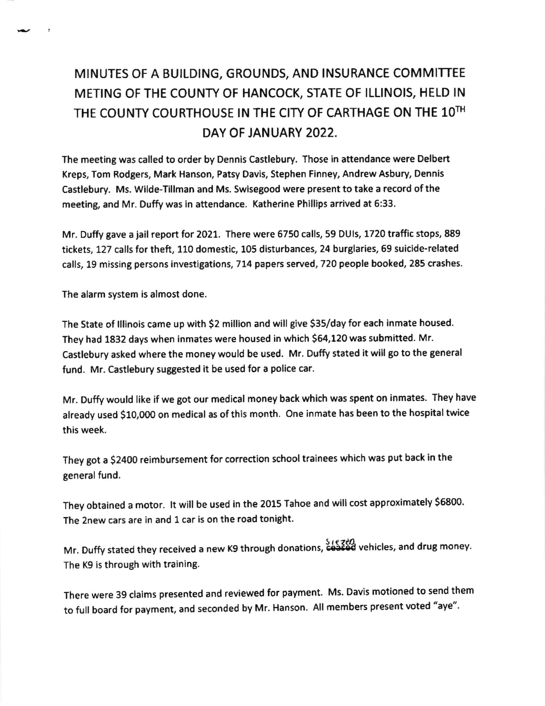## MINUTES OF A BUILDING, GROUNDS, AND INSURANCE COMMITTEE METING OF THE COUNTY OF HANCOCK, STATE OF ILLINOIS, HELD IN THE COUNTY COURTHOUSE IN THE CITY OF CARTHAGE ON THE 1OTH DAY OF JANUARY 2022.

The meeting was called to order by Dennis Castlebury. Those in attendance were Delbert Kreps, Tom Rodgers, Mark Hanson, Patsy Davis, Stephen Finney, Andrew Asbury, Dennis Castlebury. Ms. Wilde-Tillman and Ms. Swisegood were present to take a record of the meeting, and Mr. Duffy was in attendance. Katherine Phillips arrived at 6:33.

Mr. Duffygave a jail report for 2021. There were 6750 calls,59 DUls, 1720 trafficstops,889 tickets, 127 calls for theft, 110 domestic, 105 disturbances, 24 burglaries, 69 suicide-related calls, 19 missing persons investigations, 714 papers served, 720 people booked, 285 crashes.

The alarm system is almost done.

The State of lllinois came up with \$2 million and will give \$35/day for each inmate housed. They had 1832 days when inmates were housed in which 564,120 was submitted. Mr. Castlebury asked where the money would be used. Mr. Duffy stated it will go to the general fund. Mr. Castlebury suggested it be used for a police car.

Mr. Duffy would like if we got our medical money back which was spent on inmates. They have already used \$10,000 on medical as of this month. One inmate has been to the hospital twice this week.

They got a \$2400 reimbursement for correction school trainees which was put back in the general fund.

They obtained a motor. It will be used in the 2015 Tahoe and will cost approximately \$6800. The 2new cars are in and 1 car is on the road tonight.

Mr. Duffy stated they received a new K9 through donations,  $\overleftrightarrow{cos}$  vehicles, and drug money. The K9 is through with training.

There were 39 claims presented and reviewed for payment. Ms, Davis motioned to send them to full board for payment, and seconded by Mr. Hanson. All members present voted "aye".